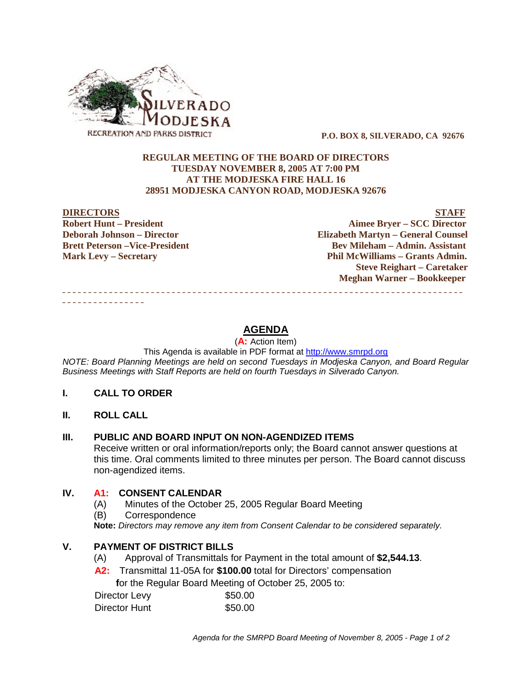

 **P.O. BOX 8, SILVERADO, CA 92676**

#### **REGULAR MEETING OF THE BOARD OF DIRECTORS TUESDAY NOVEMBER 8, 2005 AT 7:00 PM AT THE MODJESKA FIRE HALL 16 28951 MODJESKA CANYON ROAD, MODJESKA 92676**

**DIRECTORS STAFF Robert Hunt – President Aimee Bryer – SCC Director Deborah Johnson – Director Elizabeth Martyn – General Counsel Brett Peterson –Vice-President Electronic Serverson – Bev Mileham – Admin. Assistant Mark Levy – Secretary Phil McWilliams – Grants Admin. Steve Reighart – Caretaker Meghan Warner – Bookkeeper**

# **AGENDA**

\_\_\_\_\_\_\_\_\_\_\_\_\_\_\_\_\_\_\_\_\_\_\_\_\_\_\_\_\_\_\_\_\_\_\_\_\_\_\_\_\_\_\_\_\_\_\_\_\_\_\_\_\_\_\_\_\_\_\_\_\_\_\_\_\_\_\_\_\_\_\_\_\_\_\_\_\_

(**A:** Action Item)

This Agenda is available in PDF format at http://www.smrpd.org *NOTE: Board Planning Meetings are held on second Tuesdays in Modjeska Canyon, and Board Regular Business Meetings with Staff Reports are held on fourth Tuesdays in Silverado Canyon.*

## **I. CALL TO ORDER**

**II. ROLL CALL**

\_\_\_\_\_\_\_\_\_\_\_\_\_\_\_\_

## **III. PUBLIC AND BOARD INPUT ON NON-AGENDIZED ITEMS**

Receive written or oral information/reports only; the Board cannot answer questions at this time. Oral comments limited to three minutes per person. The Board cannot discuss non-agendized items.

## **IV. A1:CONSENT CALENDAR**

- (A) Minutes of the October 25, 2005 Regular Board Meeting
- (B) Correspondence

**Note:** *Directors may remove any item from Consent Calendar to be considered separately.*

## **V. PAYMENT OF DISTRICT BILLS**

- (A) Approval of Transmittals for Payment in the total amount of **\$2,544.13**.
- **A2:**Transmittal 11-05A for **\$100.00** total for Directors' compensation

 **f**or the Regular Board Meeting of October 25, 2005 to:

| Director Levy | \$50.00 |
|---------------|---------|
| Director Hunt | \$50.00 |